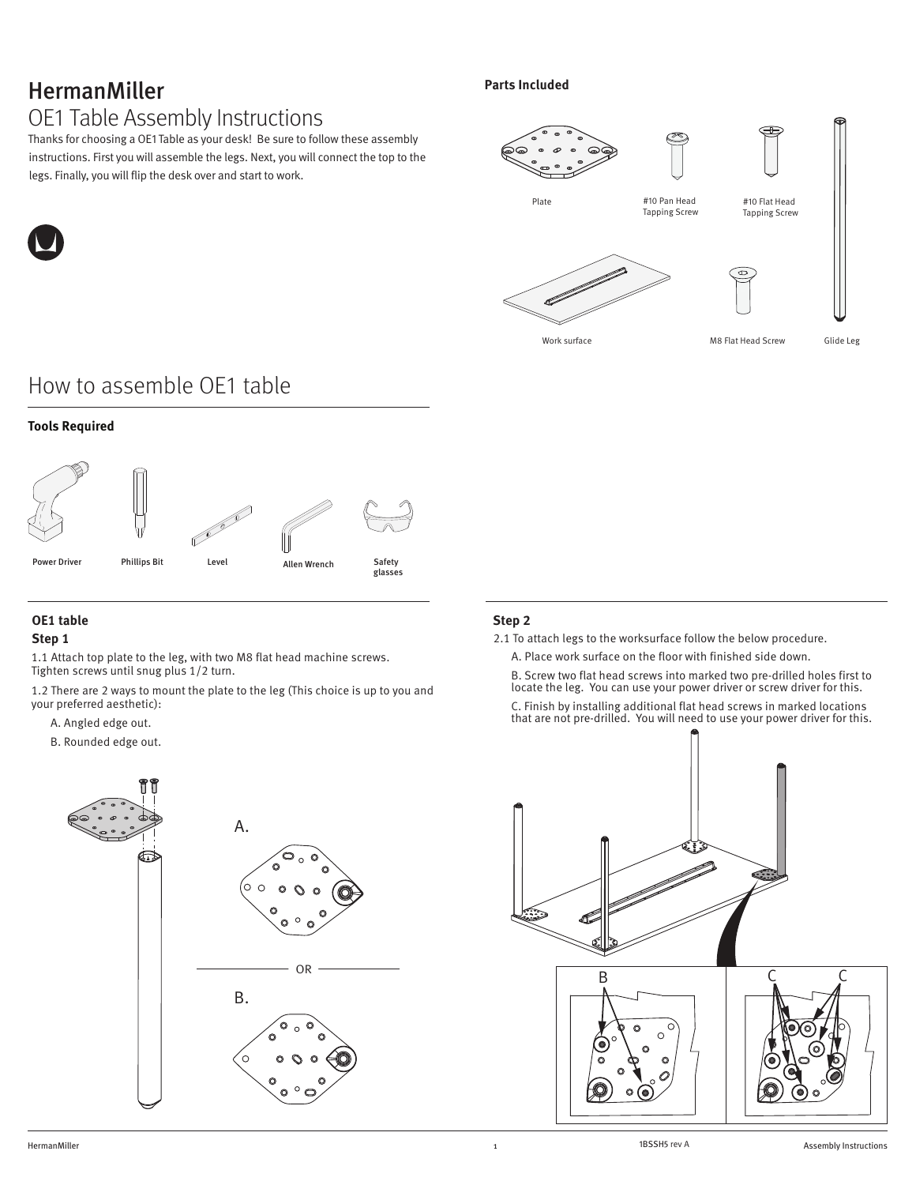## HermanMiller OE1 Table Assembly Instructions

Thanks for choosing a OE1 Table as your desk! Be sure to follow these assembly instructions. First you will assemble the legs. Next, you will connect the top to the legs. Finally, you will flip the desk over and start to work.

### **Parts Included**



# How to assemble OE1 table

### **Tools Required**



## **OE1 table**

### **Step 1**

1.1 Attach top plate to the leg, with two M8 flat head machine screws. Tighten screws until snug plus 1/2 turn.

1.2 There are 2 ways to mount the plate to the leg (This choice is up to you and your preferred aesthetic):

- A. Angled edge out.
- B. Rounded edge out.



### **Step 2**

- 2.1 To attach legs to the worksurface follow the below procedure.
	- A. Place work surface on the floor with finished side down.

B. Screw two flat head screws into marked two pre-drilled holes first to locate the leg. You can use your power driver or screw driver for this.

C. Finish by installing additional flat head screws in marked locations that are not pre-drilled. You will need to use your power driver for this.